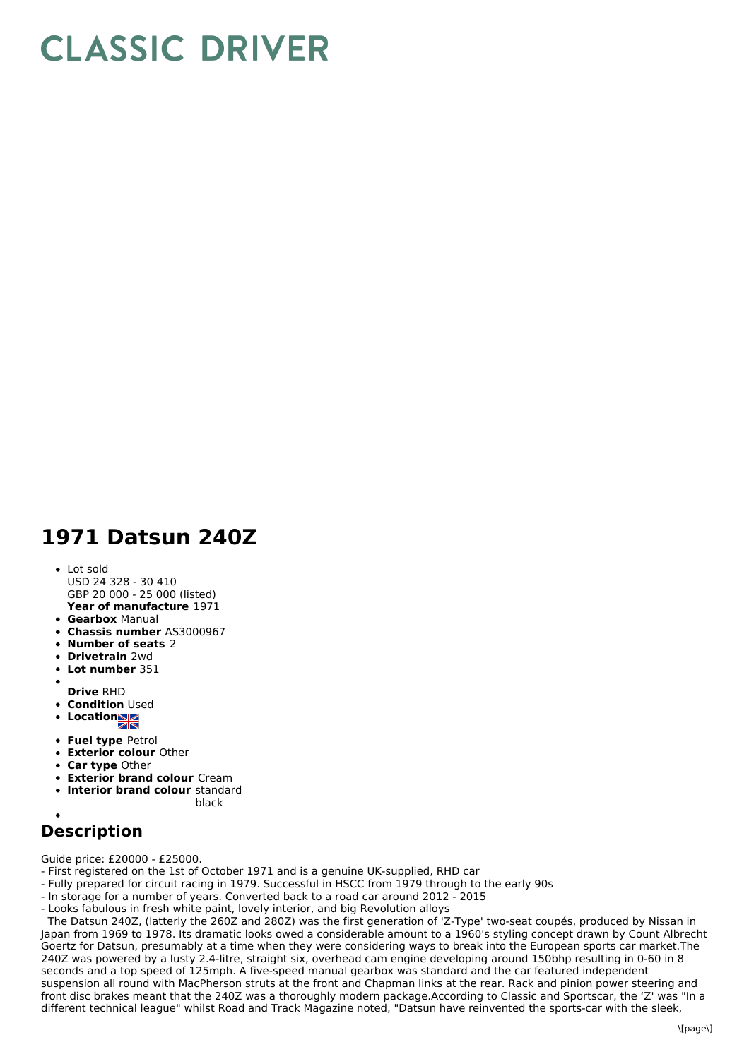## **CLASSIC DRIVER**

## **1971 Datsun 240Z**

**Year of manufacture** 1971 • Lot sold USD 24 328 - 30 410 GBP 20 000 - 25 000 (listed)

- **Gearbox** Manual
- **Chassis number** AS3000967
- **Number of seats** 2
- **Drivetrain** 2wd
- **Lot number** 351
- 
- **Drive** RHD **• Condition Used**
- **Location**
- 
- **Fuel type** Petrol
- **Exterior colour** Other
- **Car type** Other
- **Exterior brand colour** Cream **Interior brand colour** standard
	- black
- 
- **Description**

Guide price: £20000 - £25000.

- First registered on the 1st of October 1971 and is a genuine UK-supplied, RHD car
- Fully prepared for circuit racing in 1979. Successful in HSCC from 1979 through to the early 90s
- In storage for a number of years. Converted back to a road car around 2012 2015
- Looks fabulous in fresh white paint, lovely interior, and big Revolution alloys

The Datsun 240Z, (latterly the 260Z and 280Z) was the first generation of 'Z-Type' two-seat coupés, produced by Nissan in Japan from 1969 to 1978. Its dramatic looks owed a considerable amount to a 1960's styling concept drawn by Count Albrecht Goertz for Datsun, presumably at a time when they were considering ways to break into the European sports car market.The 240Z was powered by a lusty 2.4-litre, straight six, overhead cam engine developing around 150bhp resulting in 0-60 in 8 seconds and a top speed of 125mph. A five-speed manual gearbox was standard and the car featured independent suspension all round with MacPherson struts at the front and Chapman links at the rear. Rack and pinion power steering and front disc brakes meant that the 240Z was a thoroughly modern package.According to Classic and Sportscar, the 'Z' was "In a different technical league" whilst Road and Track Magazine noted, "Datsun have reinvented the sports-car with the sleek,